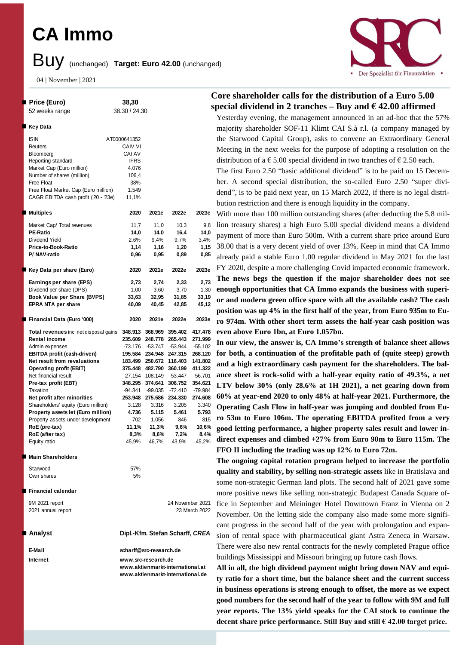# **CA Immo**

# Buy (unchanged) **Target: Euro 42.00** (unchanged)

04 | November | 2021



| Price (Euro)                                  | 38,30         |                   |                                  |                  |
|-----------------------------------------------|---------------|-------------------|----------------------------------|------------------|
| 52 weeks range                                | 38.30 / 24.30 |                   |                                  | ř                |
|                                               |               |                   |                                  |                  |
| Key Data                                      |               |                   |                                  |                  |
| <b>ISIN</b>                                   | AT0000641352  |                   |                                  |                  |
| Reuters                                       | CAIV.VI       |                   |                                  |                  |
| Bloomberg                                     | CAI AV        |                   |                                  |                  |
| Reporting standard                            | <b>IFRS</b>   |                   |                                  |                  |
| Market Cap (Euro million)                     | 4.076         |                   |                                  |                  |
| Number of shares (million)                    | 106,4         |                   |                                  |                  |
| Free Float                                    | 38%           |                   |                                  |                  |
| Free Float Market Cap (Euro million)          | 1.549         |                   |                                  |                  |
| CAGR EBITDA cash profit ('20 - '23e)          | 11,1%         |                   |                                  |                  |
| Multiples                                     | 2020          | 2021e             | 2022e                            | 2023e            |
| Market Cap/ Total revenues                    | 11,7          | 11,0              | 10,3                             | 9,8              |
| <b>PE-Ratio</b>                               | 14,0          | 14,0              | 16,4                             | 14,0             |
| Dividend Yield                                | 2,6%          | 9,4%              | 9,7%                             | 3,4%             |
| Price-to-Book-Ratio                           | 1,14          | 1,16              | 1,20                             | 1,15             |
| P/NAV-ratio                                   | 0,96          | 0,95              | 0,89                             | 0,85             |
| Key Data per share (Euro)                     | 2020          | 2021e             | 2022e                            | 2023e            |
| Earnings per share (EPS)                      | 2,73          | 2,74              | 2,33                             | 2,73             |
| Dividend per share (DPS)                      | 1,00          | 3,60              | 3,70                             | 1,30             |
| Book Value per Share (BVPS)                   | 33,63         | 32,95             | 31,85                            | 33,19            |
| <b>EPRA NTA per share</b>                     | 40,09         | 40,45             | 42,85                            | 45,12            |
| Financial Data (Euro '000)                    | 2020          | 2021e             | 2022e                            | 2023e            |
| <b>Total revenues</b> incl net disposal gains |               |                   | 348.913 368.969 395.402 417.478  |                  |
| <b>Rental income</b>                          |               |                   | 235.609 248.778 265.443          | 271.999          |
| Admin expenses                                |               |                   | -73.176 -53.747 -53.944          | $-55.102$        |
| EBITDA profit (cash-driven)                   |               |                   | 195.584 234.948 247.315          | 268.120          |
| Net result from revaluations                  |               |                   | 183.499 250.672 116.403 141.802  |                  |
| <b>Operating profit (EBIT)</b>                |               |                   | 375.448 482.790 360.199          | 411.322          |
| Net financial result                          |               |                   | -27.154 -108.149 -53.447 -56.701 |                  |
| Pre-tax profit (EBT)                          |               | 348.295 374.641   | 306.752                          | 354.621          |
| Taxation                                      |               |                   | -94.341 -99.035 -72.410          | -79.984          |
| Net profit after minorities                   |               |                   | 253.948 275.586 234.330          | 274.608          |
| Shareholders' equity (Euro million)           |               | 3.128 3.316       | 3.205                            | 3.340            |
| Property assets let (Euro million)            | 4.736         | 5.115             | 5.461                            | 5.793            |
| Property assets under development             | 702           | 1.056             | 846                              | 815              |
| RoE (pre-tax)                                 | 11,1%         | 11,3%             | 9,6%                             | 10,6%            |
| RoE (after tax)                               | 8,3%          | 8,6%              | 7,2%                             | 8,4%             |
| Equity ratio                                  |               | 45,9% 46,7% 43,9% |                                  | 45,2%            |
| Main Shareholders                             |               |                   |                                  |                  |
| Starwood                                      | 57%           |                   |                                  |                  |
| Own shares                                    | 5%            |                   |                                  |                  |
| Financial calendar                            |               |                   |                                  |                  |
| 9M 2021 report                                |               |                   |                                  | 24 November 2021 |
| 2021 annual report                            |               |                   |                                  | 23 March 2022    |
|                                               |               |                   |                                  |                  |
|                                               |               |                   |                                  |                  |

### ■ Analvst

**E-Mail scharff@src-research.de Internet www.src-research.de**

**Analyst Dipl.-Kfm. Stefan Scharff,** *CREA*

**www.aktienmarkt-international.at www.aktienmarkt-international.de**

## **Core shareholder calls for the distribution of a Euro 5.00 special dividend in 2 tranches – Buy and**  $\epsilon$  **42.00 affirmed**

Yesterday evening, the management announced in an ad-hoc that the 57% majority shareholder SOF-11 Klimt CAI S.à r.l. (a company managed by the Starwood Capital Group), asks to convene an Extraordinary General Meeting in the next weeks for the purpose of adopting a resolution on the distribution of a  $\epsilon$  5.00 special dividend in two tranches of  $\epsilon$  2.50 each.

The first Euro 2.50 "basic additional dividend" is to be paid on 15 December. A second special distribution, the so-called Euro 2.50 "super dividend", is to be paid next year, on 15 March 2022, if there is no legal distribution restriction and there is enough liquidity in the company.

With more than 100 million outstanding shares (after deducting the 5.8 million treasury shares) a high Euro 5.00 special dividend means a dividend payment of more than Euro 500m. With a current share price around Euro 38.00 that is a very decent yield of over 13%. Keep in mind that CA Immo already paid a stable Euro 1.00 regular dividend in May 2021 for the last FY 2020, despite a more challenging Covid impacted economic framework. **The news begs the question if the major shareholder does not see enough opportunities that CA Immo expands the business with superior and modern green office space with all the available cash? The cash position was up 4% in the first half of the year, from Euro 935m to Euro 974m. With other short term assets the half-year cash position was even above Euro 1bn, at Euro 1.057bn.**

**In our view, the answer is, CA Immo's strength of balance sheet allows for both, a continuation of the profitable path of (quite steep) growth and a high extraordinary cash payment for the shareholders. The balance sheet is rock-solid with a half-year equity ratio of 49.3%, a net LTV below 30% (only 28.6% at 1H 2021), a net gearing down from 60% at year-end 2020 to only 48% at half-year 2021. Furthermore, the Operating Cash Flow in half-year was jumping and doubled from Euro 53m to Euro 106m. The operating EBITDA profited from a very good letting performance, a higher property sales result and lower indirect expenses and climbed +27% from Euro 90m to Euro 115m. The FFO II including the trading was up 12% to Euro 72m.**

**The ongoing capital rotation program helped to increase the portfolio quality and stability, by selling non-strategic assets** like in Bratislava and some non-strategic German land plots. The second half of 2021 gave some more positive news like selling non-strategic Budapest Canada Square office in September and Meininger Hotel Downtown Franz in Vienna on 2 November. On the letting side the company also made some more significant progress in the second half of the year with prolongation and expansion of rental space with pharmaceutical giant Astra Zeneca in Warsaw. There were also new rental contracts for the newly completed Prague office buildings Mississippi and Missouri bringing up future cash flows.

**All in all, the high dividend payment might bring down NAV and equity ratio for a short time, but the balance sheet and the current success in business operations is strong enough to offset, the more as we expect good numbers for the second half of the year to follow with 9M and full year reports. The 13% yield speaks for the CAI stock to continue the decent share price performance. Still Buy and still € 42.00 target price.**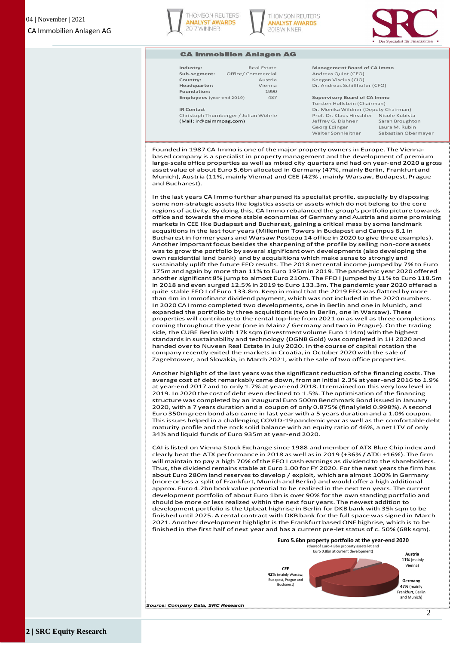





#### CA Immobilien Anlagen AG

| ndustry:                  | Re:        |  |  |  |  |
|---------------------------|------------|--|--|--|--|
| Sub-segment:              | Office/Com |  |  |  |  |
| Country:                  |            |  |  |  |  |
| leadquarter:              |            |  |  |  |  |
| Foundation:               |            |  |  |  |  |
| Employees (year-end 2019) |            |  |  |  |  |

**Foundation:** 1990

#### **Industry:** Real Estate **Management Board of CA Immo Sub-segment:** Office/ Commercial Andreas Quint (CEO) **Country:** Austria Keegan Viscius (CIO) **Headquarter:** Vienna Dr. Andreas Schillhofer (CFO)

**Employees** (year-end 2019)**:** 437 **Supervisory Board of CA Immo**

Torsten Hollstein (Chairman) **IR Contact IR Contact** Dr. Monika Wildner (Deputy Chairman) Christoph Thurnberger / Julian Wöhrle Prof. Dr. Klaus Hirschler Nicole Kubista (Mail: ir@caimmoag.com) Jeffrey G. Dishner Sarah Broughton Georg Edinger Laura M. Rubin Walter Sonnleitner Sebastian Obermayer

Founded in 1987 CA Immo is one of the major property ownersin Europe. The Viennabased company is a specialist in property management and the development of premium large-scale office properties as well as mixed city quarters and had on year-end 2020 a gross asset value of about Euro 5.6bn allocated in Germany (47%, mainly Berlin, Frankfurt and Munich), Austria (11%, mainly Vienna) and CEE (42% , mainly Warsaw, Budapest, Prague and Bucharest).

In the last years CA Immo further sharpened its specialist profile, especially by disposing some non-strategic assets like logistics assets or assets which do not belong to the core regions of activity. By doing this, CA Immo rebalanced the group's portfolio picture towards office and towards the more stable economies of Germany and Austria and some promising markets in CEE like Budapest and Bucharest, gaining a critical mass by some landmark acqusitions in the last four years (Millenium Towers in Budapest and Campus 6.1 in Bucharest in former years and Warsaw Postepu 14 office in 2020 to give three examples). Another important focus besides the sharpening of the profile by selling non-core assets was to grow the portfolio by several significant own developments (also developing the own residential land bank) and by acquisitions which make sense to strongly and sustainably uplift the future FFO results. The 2018 net rental income jumped by 7% to Euro 175m and again by more than 11% to Euro 195m in 2019. The pandemic year 2020 offered another significant 8% jump to almost Euro 210m. The FFO I jumped by 11% to Euro 118.5m in 2018 and even surged 12.5% in 2019 to Euro 133.3m. The pandemic year 2020 offered a quite stable FFO I of Euro 133.8m. Keep in mind that the 2019 FFO was flattred by more than 4m in Immofinanz dividend payment, which was not included in the 2020 numbers. In 2020 CA Immo completed two developments, one in Berlin and one in Munich, and expanded the portfolio by three acquisitions (two in Berlin, one in Warsaw). These properties will contribute to the rental top-line from 2021 on as well as three completions coming throughout the year (one in Mainz / Germany and two in Prague). On the trading side, the CUBE Berlin with 17k sqm (investment volume Euro 114m) with the highest standards in sustainability and technology (DGNB Gold) was completed in 1H 2020 and handed over to Nuveen Real Estate in July 2020. In the course of capital rotation the company recently exited the markets in Croatia, in October 2020 with the sale of Zagrebtower, and Slovakia, in March 2021, with the sale of two office properties.

Another highlight of the last years was the significant reduction of the financing costs. The average cost of debt remarkably came down, from an initial 2.3% at year-end 2016 to 1.9% at year-end 2017 and to only 1.7% at year-end 2018. It remained on this very low level in 2019. In 2020 the cost of debt even declined to 1.5%. The optimisation of the financing structure was completed by an inaugural Euro 500m Benchmark Bond issued in January 2020, with a 7 years duration and a coupon of only 0.875% (final yield 0.998%). A second Euro 350m green bond also came in last year with a 5 years duration and a 1.0% coupon. This issues helped in a challenging COVID-19 pandemic year as well as the comfortable debt maturity profile and the rock solid balance with an equity ratio of 46%, a net LTV of only 34% and liquid funds of Euro 935m at year-end 2020.

CAI is listed on Vienna Stock Exchange since 1988 and member of ATX Blue Chip index and clearly beat the ATX performance in 2018 as well as in 2019 (+36% / ATX: +16%). The firm will maintain to pay a high 70% of the FFO I cash earnings as dividend to the shareholders. Thus, the dividend remains stable at Euro 1.00 for FY 2020. For the next years the firm has about Euro 280m land reserves to develop / exploit, which are almost 100% in Germany (more or less a split of Frankfurt, Munich and Berlin) and would offer a high additional approx. Euro 4.2bn book value potential to be realized in the next ten years. The current development portfolio of about Euro 1bn is over 90% for the own standing portfolio and should be more or less realized within the next four years. The newest addition to development portfolio is the Upbeat highrise in Berlin for DKB bank with 35k sqm to be finished until 2025. A rental contract with DKB bank for the full space was signed in March 2021. Another development highlight is the Frankfurt based ONE highrise, which is to be finished in the first half of next year and has a current pre-let status of c. 50% (68k sqm).

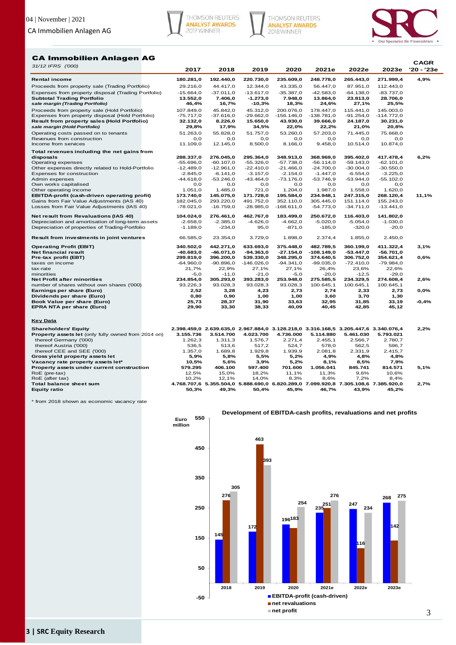





#### CA Immobilien Anlagen AG

|                                                          |                    |                    |                    |                    |                                                                                             |                    |                    | <b>CAGR</b> |
|----------------------------------------------------------|--------------------|--------------------|--------------------|--------------------|---------------------------------------------------------------------------------------------|--------------------|--------------------|-------------|
| 31/12 IFRS ('000)                                        | 2017               | 2018               | 2019               | 2020               | 2021e                                                                                       | 2022e              | 2023e              | '20 - '23e  |
| <b>Rental income</b>                                     | 180.281,0          | 192.440,0          | 220.730,0          | 235.609,0          | 248.778,0                                                                                   | 265.443,0          | 271.999,4          | 4,9%        |
| Proceeds from property sale (Trading Portfolio)          | 29.216,0           | 44.417,0           | 12.344,0           | 43.335,0           | 56.447,0                                                                                    | 87.951,0           | 112.443,0          |             |
| Expenses from property disposal (Trading Portfolio)      | $-15.664,0$        | $-37.011,0$        | $-13.617,0$        | $-35.387,0$        | $-42.583,0$                                                                                 | $-64.138,0$        | $-83.737,0$        |             |
| <b>Subtotal Trading Portfolio</b>                        | 13.552,0           | 7.406,0            | $-1.273,0$         | 7.948,0            | 13.864,0                                                                                    | 23.813,0           | 28.706,0           |             |
| sale margin (Trading Portfolio)                          | 46,4%              | 16,7%              | $-10,3%$           | 18,3%              | 24,6%                                                                                       | 27,1%              | 25,5%              |             |
| Proceeds from property sale (Hold Portfolio)             | 107.849,0          | 45.842,0           | 45.312,0           | 200.076,0          | 178.447,0                                                                                   | 115.441,0          | 145.003,0          |             |
| Expenses from property disposal (Hold Portfolio)         | $-75.717,0$        | $-37.616,0$        | $-29.662,0$        | $-156.146,0$       | $-138.781,0$                                                                                | $-91.254,0$        | $-114.772,0$       |             |
| Result from property sales (Hold Portfolio)              | 32.132,0           | 8.226,0            | 15.650,0           | 43.930,0           | 39.666,0                                                                                    | 24.187,0           | 30.231,0           |             |
| sale margin (Hold Portfolio)                             | 29,8%              | 17,9%              | 34,5%              | 22,0%              | 22,2%                                                                                       | 21,0%              | 20,8%              |             |
| Operating costs passed on to tenants                     | 51.263,0           | 55.828,0           | 51.757,0           | 53.260,0           | 57.203,0                                                                                    | 71.445,0           | 75.668,0           |             |
| Revenues from construction                               | O, O               | 0,0                | O, O               | O, O               | O, O                                                                                        | O, O               | O, O               |             |
| Income from services                                     | 11.109,0           | 12.145,0           | 8.500,0            | 8.166,0            | 9.458,0                                                                                     | 10.514,0           | 10.874,0           |             |
| Total revenues including the net gains from              |                    |                    |                    |                    |                                                                                             |                    |                    |             |
| disposals                                                | 288.337,0          | 276.045,0          | 295.364,0          | 348.913,0          | 368.969,0                                                                                   | 395.402,0          | 417.478,4          | 6,2%        |
| Operating expenses                                       | $-55.696,0$        | $-60.107,0$        | $-55.326,0$        | $-57.738,0$        | $-56.114,0$                                                                                 | $-59.143,0$        | $-62.101,0$        |             |
| Other expenses directly related to Hold-Portfolio        | $-12.489,0$        | $-12.961,0$        | $-22.410,0$        | $-21.466,0$        | $-24.700,0$                                                                                 | $-30.004, 0$       | $-30.550,0$        |             |
| Expenses for construction                                | $-2.845,0$         | $-6.141,0$         | $-3.157,0$         | $-2.154,0$         | $-1.447,0$                                                                                  | $-6.554,0$         | $-3.225,0$         |             |
| Admin expenses<br>Own works capitalised                  | $-44.618,0$<br>0,0 | $-53.246,0$<br>0,0 | $-43.464,0$<br>0,0 | $-73.176,0$<br>0,0 | $-53.746,9$<br>O, O                                                                         | $-53.944,0$<br>0,0 | $-55.102,0$<br>0,0 |             |
| Other operating income                                   | 1.051,0            | 1.485,0            | 721,0              | 1.204,0            | 1.987,0                                                                                     | 1.558,0            | 1.620,0            |             |
| EBITDA-profit (cash-driven operating profit)             | 173.740,0          | 145.075,0          | 171.728,0          | 195.584,0          | 234.948,1                                                                                   | 247.315,0          | 268.120,4          | 11,1%       |
| Gains from Fair Value Adjustments (IAS 40)               | 182.045,0          | 293.220,0          | 491.752,0          | 352.110,0          | 305.445,0                                                                                   | 151.114,0          | 155.243,0          |             |
| Losses from Fair Value Adjustments (IAS 40)              | $-78.021,0$        | $-16.759,0$        | $-28.985,0$        | $-168.611,0$       | $-54.773,0$                                                                                 | $-34.711,0$        | $-13.441,0$        |             |
|                                                          |                    |                    |                    |                    |                                                                                             |                    |                    |             |
| Net result from Revaluations (IAS 40)                    | 104.024,0          | 276.461,0          | 462.767,0          | 183.499,0          | 250.672,0                                                                                   | 116.403,0          | 141.802,0          |             |
| Depreciation and amortisation of long-term assets        | $-2.658,0$         | $-2.385,0$         | $-4.626,0$         | $-4.662,0$         | $-5.020,0$                                                                                  | $-5.054,0$         | $-1.030,0$         |             |
| Depreciation of properties of Trading-Portfolio          | $-1.189,0$         | $-234,0$           | 95,0               | $-871,0$           | $-185,0$                                                                                    | $-320,0$           | $-20,0$            |             |
| Result from investments in joint ventures                | 66.585,0           | 23.354,0           | 3.729,0            | 1.898,0            | 2.374,4                                                                                     | 1.855,0            | 2.450,0            |             |
| <b>Operating Profit (EBIT)</b>                           | 340.502,0          | 442.271,0          | 633.693,0          | 375.448,0          | 482.789,5                                                                                   | 360.199,0          | 411.322,4          | 3,1%        |
| Net financial result                                     | $-40.683, 0$       | $-46.071,0$        | $-94.363,0$        | $-27.154,0$        | $-108.149,0$                                                                                | $-53.447,0$        | $-56.701,0$        |             |
| Pre-tax profit (EBT)                                     | 299.819.0          | 396.200,0          | 539.330,0          | 348.295,0          | 374.640,5                                                                                   | 306.752,0          | 354.621,4          | 0,6%        |
| taxes on income                                          | $-64.960,0$        | $-90.896,0$        | $-146.026,0$       | $-94.341,0$        | $-99.035,0$                                                                                 | $-72.410,0$        | $-79.984,0$        |             |
| tax-rate                                                 | 21,7%              | 22,9%              | 27,1%              | 27,1%              | 26,4%                                                                                       | 23,6%              | 22,6%              |             |
| minorities                                               | $-5,0$             | $-11,0$            | $-21,0$            | $-5,0$             | $-20,0$                                                                                     | $-12,5$            | $-29,0$            |             |
| <b>Net Profit after minorities</b>                       | 234.854,0          | 305.293,0          | 393.283,0          | 253.948,0          | 275.585,5                                                                                   | 234.329,5          | 274.608,4          | 2,6%        |
| number of shares without own shares ('000)               | 93.226,3           | 93.028,3           | 93.028,3           | 93.028,3           | 100.645,1                                                                                   | 100.645,1          | 100.645,1          |             |
| Earnings per share (Euro)                                | 2,52               | 3,28               | 4,23               | 2,73               | 2,74                                                                                        | 2,33               | 2,73               | 0,0%        |
| Dividends per share (Euro)                               | 0,80               | 0,90               | 1,00               | 1,00               | 3,60                                                                                        | 3,70               | 1,30               |             |
| Book Value per share (Euro)<br>EPRA NTA per share (Euro) | 25,73<br>29,90     | 28,37<br>33,30     | 31,90<br>38,33     | 33,63<br>40,09     | 32,95<br>40,45                                                                              | 31,85<br>42,85     | 33,19<br>45,12     | $-0,4%$     |
|                                                          |                    |                    |                    |                    |                                                                                             |                    |                    |             |
| <b>Key Data</b>                                          |                    |                    |                    |                    |                                                                                             |                    |                    |             |
| <b>Shareholders' Equity</b>                              |                    |                    |                    |                    | 2.398.459.0 2.639.635.0 2.967.884.0 3.128.218.0 3.316.168.5 3.205.447.6 3.340.076.4         |                    |                    | 2,2%        |
| Property assets let (only fully owned from 2014 on)      | 3.155.736          | 3.514.700          | 4.023.700          | 4.736.000          | 5.114.880                                                                                   | 5.461.030          | 5.793.021          |             |
| thereof Germany ('000)                                   | 1.262,3            | 1.311,3            | 1.576,7            | 2.271,4            | 2.455,1                                                                                     | 2.566,7            | 2.780,7            |             |
| thereof Austria ('000)                                   | 536,5              | 513,6              | 517,2              | 524,7              | 578,0                                                                                       | 562,5              | 596,7              |             |
| thereof CEE and SEE ('000)                               | 1.357,0            | 1.689,8            | 1.929,8            | 1.939,9            | 2.081,8                                                                                     | 2.331,9            | 2.415,7            |             |
| Gross yield property assets let                          | 5,9%               | 5,8%               | 5,5%               | 5,2%               | 4,9%                                                                                        | 4,8%               | 4,8%               |             |
| Vacancy rate property assets let*                        | 10,5%              | 5,6%               | 3,9%               | 5,2%               | 8,1%                                                                                        | 8,5%               | 7,9%               |             |
| Property assets under current construction               | 579.295            | 406.100            | 597.400            | 701.600            | 1.056.041                                                                                   | 845.741            | 814.571            | 5,1%        |
| RoE (pre-tax)                                            | 12,5%              | 15,0%              | 18,2%              | 11,1%              | 11,3%                                                                                       | 9,6%               | 10,6%              |             |
| RoE (after tax)<br>Total balance sheet sum               | 10,2%              | 12,1%              | 14,0%              | 8,3%               | 8,6%<br>4.768.707,6 5.355.504,0 5.888.690,0 6.820.289,0 7.099.920,8 7.305.108,6 7.385.920,0 | 7,2%               | 8,4%               | 2,7%        |
| <b>Equity ratio</b>                                      | 50,3%              | 49,3%              | 50,4%              | 45,9%              | 46,7%                                                                                       | 43,9%              | 45,2%              |             |
|                                                          |                    |                    |                    |                    |                                                                                             |                    |                    |             |

\* from 2018 shown as economic vacancy rate